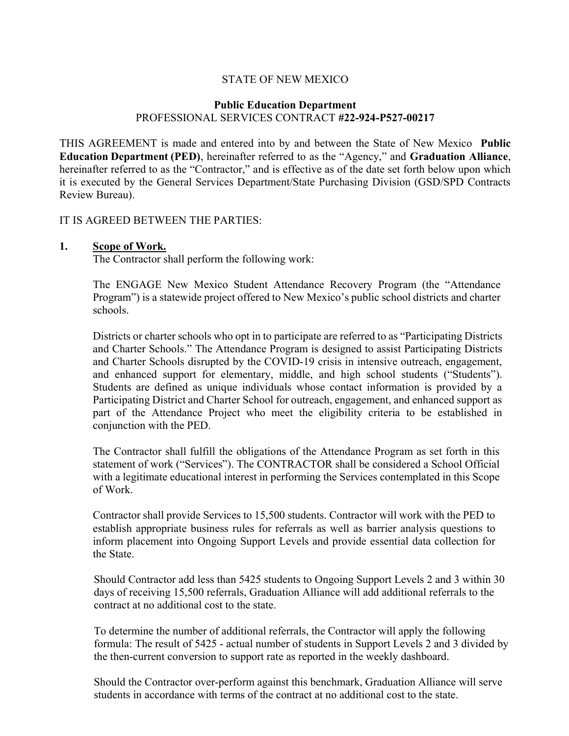## STATE OF NEW MEXICO

#### Public Education Department PROFESSIONAL SERVICES CONTRACT #22-924-P527-00217

THIS AGREEMENT is made and entered into by and between the State of New Mexico Public Education Department (PED), hereinafter referred to as the "Agency," and Graduation Alliance, hereinafter referred to as the "Contractor," and is effective as of the date set forth below upon which it is executed by the General Services Department/State Purchasing Division (GSD/SPD Contracts Review Bureau).

#### IT IS AGREED BETWEEN THE PARTIES:

#### 1. Scope of Work.

The Contractor shall perform the following work:

The ENGAGE New Mexico Student Attendance Recovery Program (the "Attendance Program") is a statewide project offered to New Mexico's public school districts and charter schools.

Districts or charter schools who opt in to participate are referred to as "Participating Districts" and Charter Schools." The Attendance Program is designed to assist Participating Districts and Charter Schools disrupted by the COVID-19 crisis in intensive outreach, engagement, and enhanced support for elementary, middle, and high school students ("Students"). Students are defined as unique individuals whose contact information is provided by a Participating District and Charter School for outreach, engagement, and enhanced support as part of the Attendance Project who meet the eligibility criteria to be established in conjunction with the PED.

The Contractor shall fulfill the obligations of the Attendance Program as set forth in this statement of work ("Services"). The CONTRACTOR shall be considered a School Official with a legitimate educational interest in performing the Services contemplated in this Scope of Work.

Contractor shall provide Services to 15,500 students. Contractor will work with the PED to establish appropriate business rules for referrals as well as barrier analysis questions to inform placement into Ongoing Support Levels and provide essential data collection for the State.

Should Contractor add less than 5425 students to Ongoing Support Levels 2 and 3 within 30 days of receiving 15,500 referrals, Graduation Alliance will add additional referrals to the contract at no additional cost to the state.

To determine the number of additional referrals, the Contractor will apply the following formula: The result of 5425 - actual number of students in Support Levels 2 and 3 divided by the then-current conversion to support rate as reported in the weekly dashboard.

Should the Contractor over-perform against this benchmark, Graduation Alliance will serve students in accordance with terms of the contract at no additional cost to the state.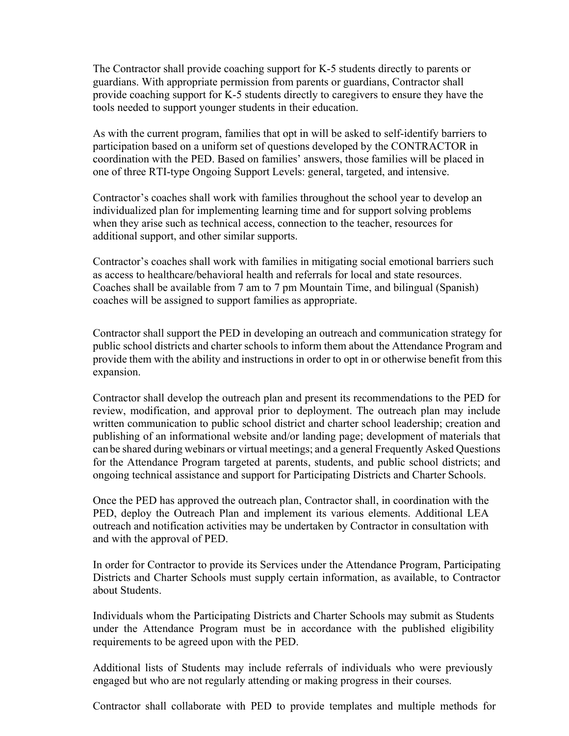The Contractor shall provide coaching support for K-5 students directly to parents or guardians. With appropriate permission from parents or guardians, Contractor shall provide coaching support for K-5 students directly to caregivers to ensure they have the tools needed to support younger students in their education.

As with the current program, families that opt in will be asked to self-identify barriers to participation based on a uniform set of questions developed by the CONTRACTOR in coordination with the PED. Based on families' answers, those families will be placed in one of three RTI-type Ongoing Support Levels: general, targeted, and intensive.

Contractor's coaches shall work with families throughout the school year to develop an individualized plan for implementing learning time and for support solving problems when they arise such as technical access, connection to the teacher, resources for additional support, and other similar supports.

Contractor's coaches shall work with families in mitigating social emotional barriers such as access to healthcare/behavioral health and referrals for local and state resources. Coaches shall be available from 7 am to 7 pm Mountain Time, and bilingual (Spanish) coaches will be assigned to support families as appropriate.

Contractor shall support the PED in developing an outreach and communication strategy for public school districts and charter schools to inform them about the Attendance Program and provide them with the ability and instructions in order to opt in or otherwise benefit from this expansion.

Contractor shall develop the outreach plan and present its recommendations to the PED for review, modification, and approval prior to deployment. The outreach plan may include written communication to public school district and charter school leadership; creation and publishing of an informational website and/or landing page; development of materials that can be shared during webinars or virtual meetings; and a general Frequently Asked Questions for the Attendance Program targeted at parents, students, and public school districts; and ongoing technical assistance and support for Participating Districts and Charter Schools.

Once the PED has approved the outreach plan, Contractor shall, in coordination with the PED, deploy the Outreach Plan and implement its various elements. Additional LEA outreach and notification activities may be undertaken by Contractor in consultation with and with the approval of PED.

In order for Contractor to provide its Services under the Attendance Program, Participating Districts and Charter Schools must supply certain information, as available, to Contractor about Students.

Individuals whom the Participating Districts and Charter Schools may submit as Students under the Attendance Program must be in accordance with the published eligibility requirements to be agreed upon with the PED.

Additional lists of Students may include referrals of individuals who were previously engaged but who are not regularly attending or making progress in their courses.

Contractor shall collaborate with PED to provide templates and multiple methods for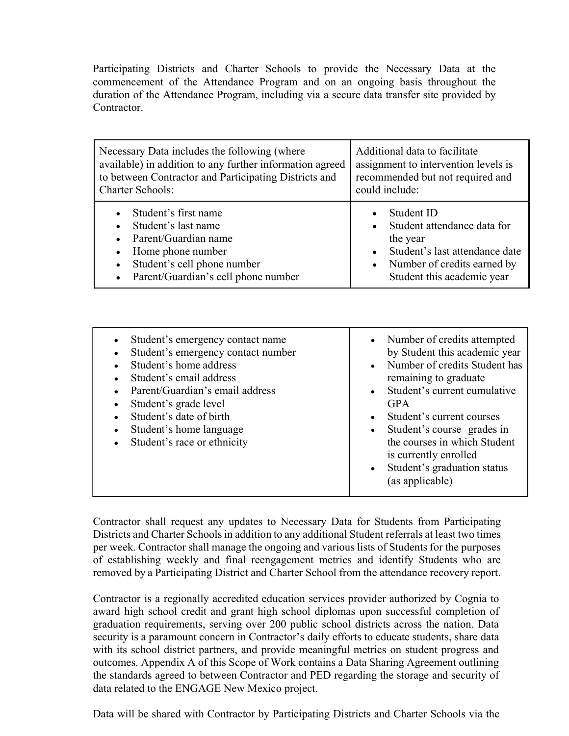Participating Districts and Charter Schools to provide the Necessary Data at the commencement of the Attendance Program and on an ongoing basis throughout the duration of the Attendance Program, including via a secure data transfer site provided by Contractor.

| Necessary Data includes the following (where                                                                                                                                                          | Additional data to facilitate                                                                                                                                     |  |
|-------------------------------------------------------------------------------------------------------------------------------------------------------------------------------------------------------|-------------------------------------------------------------------------------------------------------------------------------------------------------------------|--|
| available) in addition to any further information agreed                                                                                                                                              | assignment to intervention levels is                                                                                                                              |  |
| to between Contractor and Participating Districts and                                                                                                                                                 | recommended but not required and                                                                                                                                  |  |
| <b>Charter Schools:</b>                                                                                                                                                                               | could include:                                                                                                                                                    |  |
| Student's first name<br>Student's last name<br>Parent/Guardian name<br>$\bullet$<br>Home phone number<br>Student's cell phone number<br>$\bullet$<br>Parent/Guardian's cell phone number<br>$\bullet$ | Student ID<br>Student attendance data for<br>the year<br>Student's last attendance date<br>Number of credits earned by<br>$\bullet$<br>Student this academic year |  |

| Student's emergency contact name<br>Student's emergency contact number<br>Student's home address<br>Student's email address<br>Parent/Guardian's email address<br>Student's grade level<br>Student's date of birth<br>Student's home language<br>Student's race or ethnicity | • Number of credits attempted<br>by Student this academic year<br>Number of credits Student has<br>remaining to graduate<br>Student's current cumulative<br><b>GPA</b><br>Student's current courses<br>Student's course grades in<br>$\bullet$<br>the courses in which Student<br>is currently enrolled<br>Student's graduation status<br>$\bullet$<br>(as applicable) |
|------------------------------------------------------------------------------------------------------------------------------------------------------------------------------------------------------------------------------------------------------------------------------|------------------------------------------------------------------------------------------------------------------------------------------------------------------------------------------------------------------------------------------------------------------------------------------------------------------------------------------------------------------------|
|------------------------------------------------------------------------------------------------------------------------------------------------------------------------------------------------------------------------------------------------------------------------------|------------------------------------------------------------------------------------------------------------------------------------------------------------------------------------------------------------------------------------------------------------------------------------------------------------------------------------------------------------------------|

Contractor shall request any updates to Necessary Data for Students from Participating Districts and Charter Schools in addition to any additional Student referrals at least two times per week. Contractor shall manage the ongoing and various lists of Students for the purposes of establishing weekly and final reengagement metrics and identify Students who are removed by a Participating District and Charter School from the attendance recovery report.

Contractor is a regionally accredited education services provider authorized by Cognia to award high school credit and grant high school diplomas upon successful completion of graduation requirements, serving over 200 public school districts across the nation. Data security is a paramount concern in Contractor's daily efforts to educate students, share data with its school district partners, and provide meaningful metrics on student progress and outcomes. Appendix A of this Scope of Work contains a Data Sharing Agreement outlining the standards agreed to between Contractor and PED regarding the storage and security of data related to the ENGAGE New Mexico project.

Data will be shared with Contractor by Participating Districts and Charter Schools via the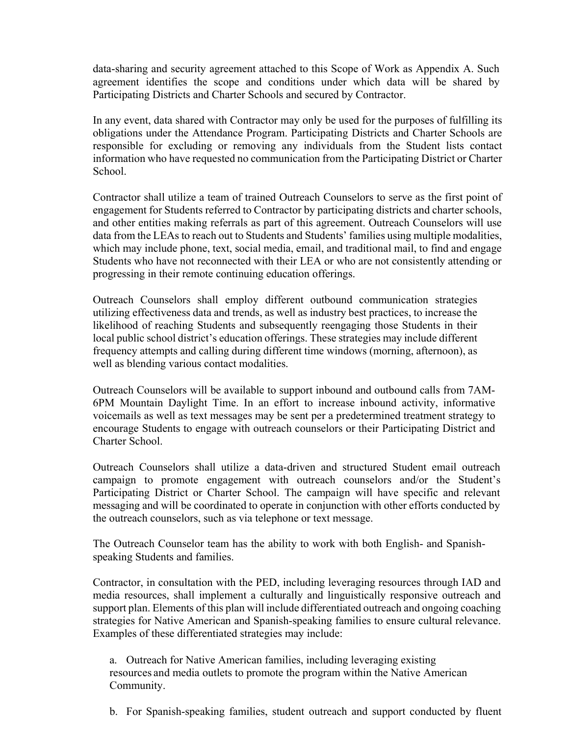data-sharing and security agreement attached to this Scope of Work as Appendix A. Such agreement identifies the scope and conditions under which data will be shared by Participating Districts and Charter Schools and secured by Contractor.

In any event, data shared with Contractor may only be used for the purposes of fulfilling its obligations under the Attendance Program. Participating Districts and Charter Schools are responsible for excluding or removing any individuals from the Student lists contact information who have requested no communication from the Participating District or Charter School.

Contractor shall utilize a team of trained Outreach Counselors to serve as the first point of engagement for Students referred to Contractor by participating districts and charter schools, and other entities making referrals as part of this agreement. Outreach Counselors will use data from the LEAs to reach out to Students and Students' families using multiple modalities, which may include phone, text, social media, email, and traditional mail, to find and engage Students who have not reconnected with their LEA or who are not consistently attending or progressing in their remote continuing education offerings.

Outreach Counselors shall employ different outbound communication strategies utilizing effectiveness data and trends, as well as industry best practices, to increase the likelihood of reaching Students and subsequently reengaging those Students in their local public school district's education offerings. These strategies may include different frequency attempts and calling during different time windows (morning, afternoon), as well as blending various contact modalities.

Outreach Counselors will be available to support inbound and outbound calls from 7AM-6PM Mountain Daylight Time. In an effort to increase inbound activity, informative voicemails as well as text messages may be sent per a predetermined treatment strategy to encourage Students to engage with outreach counselors or their Participating District and Charter School.

Outreach Counselors shall utilize a data-driven and structured Student email outreach campaign to promote engagement with outreach counselors and/or the Student's Participating District or Charter School. The campaign will have specific and relevant messaging and will be coordinated to operate in conjunction with other efforts conducted by the outreach counselors, such as via telephone or text message.

The Outreach Counselor team has the ability to work with both English- and Spanishspeaking Students and families.

Contractor, in consultation with the PED, including leveraging resources through IAD and media resources, shall implement a culturally and linguistically responsive outreach and support plan. Elements of this plan will include differentiated outreach and ongoing coaching strategies for Native American and Spanish-speaking families to ensure cultural relevance. Examples of these differentiated strategies may include:

a. Outreach for Native American families, including leveraging existing resources and media outlets to promote the program within the Native American Community.

b. For Spanish-speaking families, student outreach and support conducted by fluent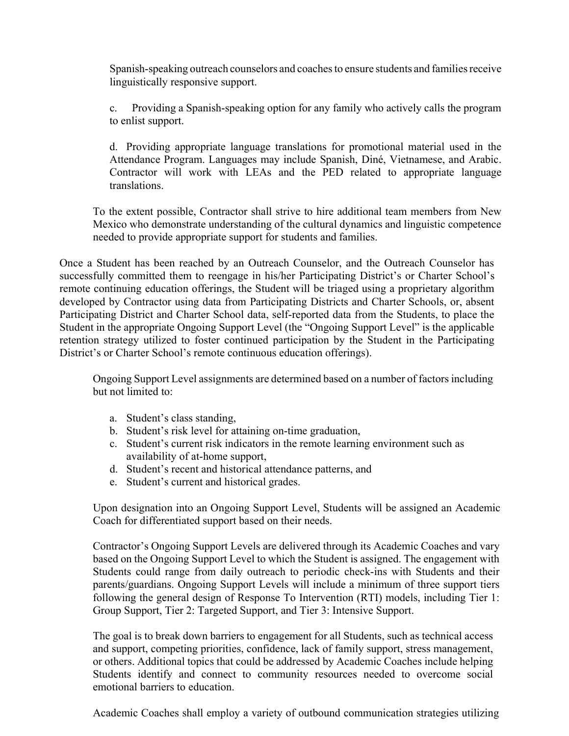Spanish-speaking outreach counselors and coaches to ensure students and families receive linguistically responsive support.

c. Providing a Spanish-speaking option for any family who actively calls the program to enlist support.

d. Providing appropriate language translations for promotional material used in the Attendance Program. Languages may include Spanish, Diné, Vietnamese, and Arabic. Contractor will work with LEAs and the PED related to appropriate language translations.

To the extent possible, Contractor shall strive to hire additional team members from New Mexico who demonstrate understanding of the cultural dynamics and linguistic competence needed to provide appropriate support for students and families.

Once a Student has been reached by an Outreach Counselor, and the Outreach Counselor has successfully committed them to reengage in his/her Participating District's or Charter School's remote continuing education offerings, the Student will be triaged using a proprietary algorithm developed by Contractor using data from Participating Districts and Charter Schools, or, absent Participating District and Charter School data, self-reported data from the Students, to place the Student in the appropriate Ongoing Support Level (the "Ongoing Support Level" is the applicable retention strategy utilized to foster continued participation by the Student in the Participating District's or Charter School's remote continuous education offerings).

Ongoing Support Level assignments are determined based on a number of factors including but not limited to:

- a. Student's class standing,
- b. Student's risk level for attaining on-time graduation,
- c. Student's current risk indicators in the remote learning environment such as availability of at-home support,
- d. Student's recent and historical attendance patterns, and
- e. Student's current and historical grades.

Upon designation into an Ongoing Support Level, Students will be assigned an Academic Coach for differentiated support based on their needs.

Contractor's Ongoing Support Levels are delivered through its Academic Coaches and vary based on the Ongoing Support Level to which the Student is assigned. The engagement with Students could range from daily outreach to periodic check-ins with Students and their parents/guardians. Ongoing Support Levels will include a minimum of three support tiers following the general design of Response To Intervention (RTI) models, including Tier 1: Group Support, Tier 2: Targeted Support, and Tier 3: Intensive Support.

The goal is to break down barriers to engagement for all Students, such as technical access and support, competing priorities, confidence, lack of family support, stress management, or others. Additional topics that could be addressed by Academic Coaches include helping Students identify and connect to community resources needed to overcome social emotional barriers to education.

Academic Coaches shall employ a variety of outbound communication strategies utilizing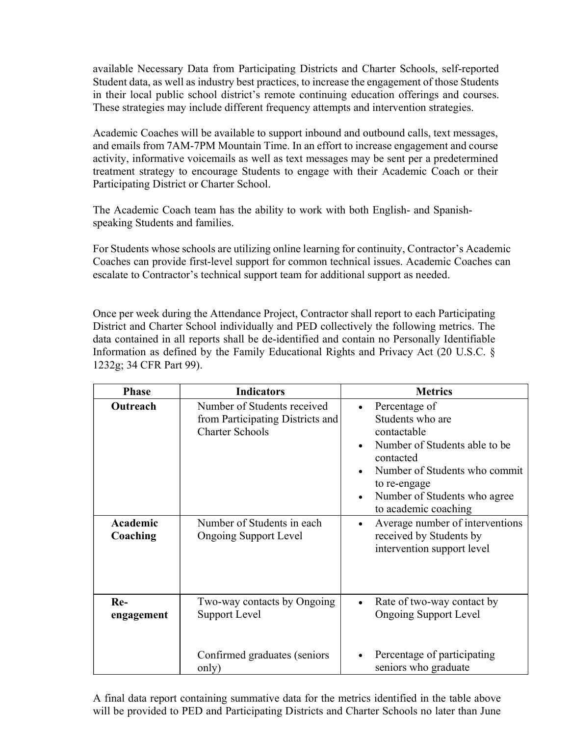available Necessary Data from Participating Districts and Charter Schools, self-reported Student data, as well as industry best practices, to increase the engagement of those Students in their local public school district's remote continuing education offerings and courses. These strategies may include different frequency attempts and intervention strategies.

Academic Coaches will be available to support inbound and outbound calls, text messages, and emails from 7AM-7PM Mountain Time. In an effort to increase engagement and course activity, informative voicemails as well as text messages may be sent per a predetermined treatment strategy to encourage Students to engage with their Academic Coach or their Participating District or Charter School.

The Academic Coach team has the ability to work with both English- and Spanishspeaking Students and families.

For Students whose schools are utilizing online learning for continuity, Contractor's Academic Coaches can provide first-level support for common technical issues. Academic Coaches can escalate to Contractor's technical support team for additional support as needed.

Once per week during the Attendance Project, Contractor shall report to each Participating District and Charter School individually and PED collectively the following metrics. The data contained in all reports shall be de-identified and contain no Personally Identifiable Information as defined by the Family Educational Rights and Privacy Act (20 U.S.C. § 1232g; 34 CFR Part 99).

| <b>Phase</b>         | <b>Indicators</b>                                                                         | <b>Metrics</b>                                                                                                                                                                                          |  |
|----------------------|-------------------------------------------------------------------------------------------|---------------------------------------------------------------------------------------------------------------------------------------------------------------------------------------------------------|--|
| Outreach             | Number of Students received<br>from Participating Districts and<br><b>Charter Schools</b> | Percentage of<br>Students who are<br>contactable<br>Number of Students able to be<br>contacted<br>Number of Students who commit<br>to re-engage<br>Number of Students who agree<br>to academic coaching |  |
| Academic<br>Coaching | Number of Students in each<br><b>Ongoing Support Level</b>                                | Average number of interventions<br>$\bullet$<br>received by Students by<br>intervention support level                                                                                                   |  |
| Re-<br>engagement    | Two-way contacts by Ongoing<br>Support Level                                              | Rate of two-way contact by<br>$\bullet$<br><b>Ongoing Support Level</b>                                                                                                                                 |  |
|                      | Confirmed graduates (seniors<br>only)                                                     | Percentage of participating<br>seniors who graduate                                                                                                                                                     |  |

A final data report containing summative data for the metrics identified in the table above will be provided to PED and Participating Districts and Charter Schools no later than June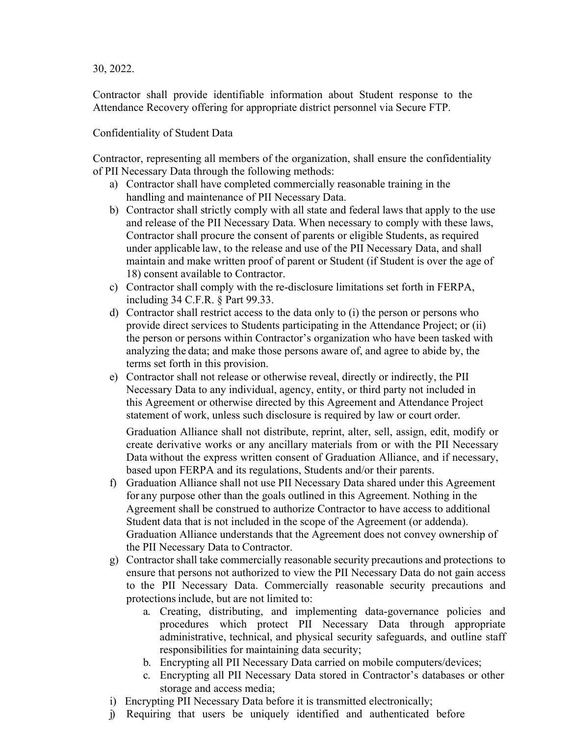30, 2022.

Contractor shall provide identifiable information about Student response to the Attendance Recovery offering for appropriate district personnel via Secure FTP.

Confidentiality of Student Data

Contractor, representing all members of the organization, shall ensure the confidentiality of PII Necessary Data through the following methods:

- a) Contractor shall have completed commercially reasonable training in the handling and maintenance of PII Necessary Data.
- b) Contractor shall strictly comply with all state and federal laws that apply to the use and release of the PII Necessary Data. When necessary to comply with these laws, Contractor shall procure the consent of parents or eligible Students, as required under applicable law, to the release and use of the PII Necessary Data, and shall maintain and make written proof of parent or Student (if Student is over the age of 18) consent available to Contractor.
- c) Contractor shall comply with the re-disclosure limitations set forth in FERPA, including 34 C.F.R. § Part 99.33.
- d) Contractor shall restrict access to the data only to (i) the person or persons who provide direct services to Students participating in the Attendance Project; or (ii) the person or persons within Contractor's organization who have been tasked with analyzing the data; and make those persons aware of, and agree to abide by, the terms set forth in this provision.
- e) Contractor shall not release or otherwise reveal, directly or indirectly, the PII Necessary Data to any individual, agency, entity, or third party not included in this Agreement or otherwise directed by this Agreement and Attendance Project statement of work, unless such disclosure is required by law or court order.

Graduation Alliance shall not distribute, reprint, alter, sell, assign, edit, modify or create derivative works or any ancillary materials from or with the PII Necessary Data without the express written consent of Graduation Alliance, and if necessary, based upon FERPA and its regulations, Students and/or their parents.

- f) Graduation Alliance shall not use PII Necessary Data shared under this Agreement for any purpose other than the goals outlined in this Agreement. Nothing in the Agreement shall be construed to authorize Contractor to have access to additional Student data that is not included in the scope of the Agreement (or addenda). Graduation Alliance understands that the Agreement does not convey ownership of the PII Necessary Data to Contractor.
- g) Contractor shall take commercially reasonable security precautions and protections to ensure that persons not authorized to view the PII Necessary Data do not gain access to the PII Necessary Data. Commercially reasonable security precautions and protections include, but are not limited to:
	- a. Creating, distributing, and implementing data-governance policies and procedures which protect PII Necessary Data through appropriate administrative, technical, and physical security safeguards, and outline staff responsibilities for maintaining data security;
	- b. Encrypting all PII Necessary Data carried on mobile computers/devices;
	- c. Encrypting all PII Necessary Data stored in Contractor's databases or other storage and access media;
- i) Encrypting PII Necessary Data before it is transmitted electronically;
- j) Requiring that users be uniquely identified and authenticated before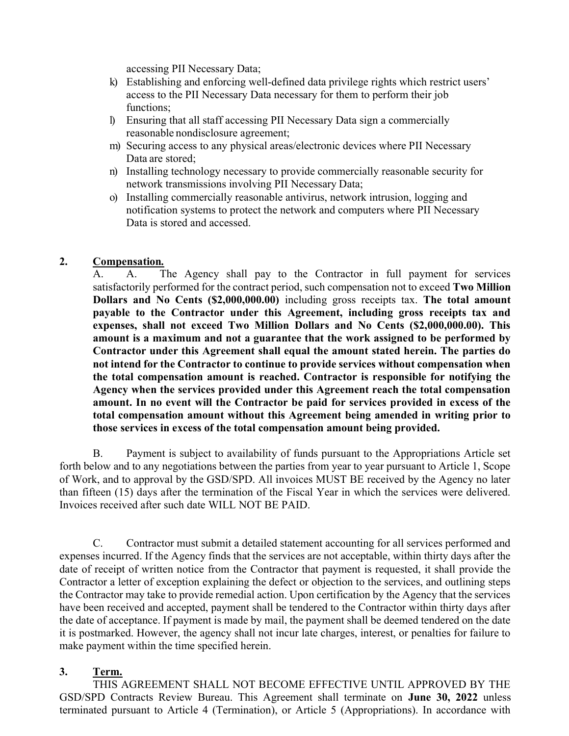accessing PII Necessary Data;

- k) Establishing and enforcing well-defined data privilege rights which restrict users access to the PII Necessary Data necessary for them to perform their job functions;
- l) Ensuring that all staff accessing PII Necessary Data sign a commercially reasonable nondisclosure agreement;
- m) Securing access to any physical areas/electronic devices where PII Necessary Data are stored;
- n) Installing technology necessary to provide commercially reasonable security for network transmissions involving PII Necessary Data;
- o) Installing commercially reasonable antivirus, network intrusion, logging and notification systems to protect the network and computers where PII Necessary Data is stored and accessed.

## 2. Compensation.

A. A. The Agency shall pay to the Contractor in full payment for services satisfactorily performed for the contract period, such compensation not to exceed Two Million Dollars and No Cents (\$2,000,000.00) including gross receipts tax. The total amount payable to the Contractor under this Agreement, including gross receipts tax and expenses, shall not exceed Two Million Dollars and No Cents (\$2,000,000.00). This amount is a maximum and not a guarantee that the work assigned to be performed by Contractor under this Agreement shall equal the amount stated herein. The parties do not intend for the Contractor to continue to provide services without compensation when the total compensation amount is reached. Contractor is responsible for notifying the Agency when the services provided under this Agreement reach the total compensation amount. In no event will the Contractor be paid for services provided in excess of the total compensation amount without this Agreement being amended in writing prior to those services in excess of the total compensation amount being provided.

B. Payment is subject to availability of funds pursuant to the Appropriations Article set forth below and to any negotiations between the parties from year to year pursuant to Article 1, Scope of Work, and to approval by the GSD/SPD. All invoices MUST BE received by the Agency no later than fifteen (15) days after the termination of the Fiscal Year in which the services were delivered. Invoices received after such date WILL NOT BE PAID.

C. Contractor must submit a detailed statement accounting for all services performed and expenses incurred. If the Agency finds that the services are not acceptable, within thirty days after the date of receipt of written notice from the Contractor that payment is requested, it shall provide the Contractor a letter of exception explaining the defect or objection to the services, and outlining steps the Contractor may take to provide remedial action. Upon certification by the Agency that the services have been received and accepted, payment shall be tendered to the Contractor within thirty days after the date of acceptance. If payment is made by mail, the payment shall be deemed tendered on the date it is postmarked. However, the agency shall not incur late charges, interest, or penalties for failure to make payment within the time specified herein.

#### 3. Term.

THIS AGREEMENT SHALL NOT BECOME EFFECTIVE UNTIL APPROVED BY THE GSD/SPD Contracts Review Bureau. This Agreement shall terminate on June 30, 2022 unless terminated pursuant to Article 4 (Termination), or Article 5 (Appropriations). In accordance with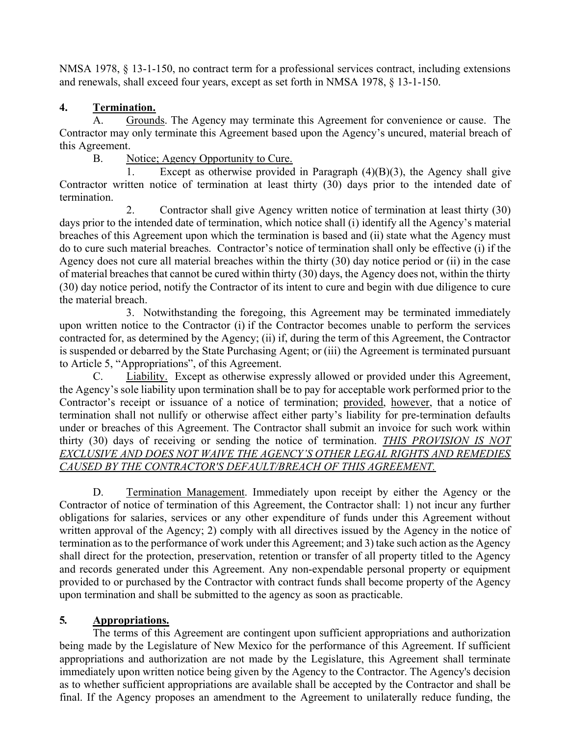NMSA 1978, § 13-1-150, no contract term for a professional services contract, including extensions and renewals, shall exceed four years, except as set forth in NMSA 1978, § 13-1-150.

# 4. Termination.

A. Grounds. The Agency may terminate this Agreement for convenience or cause. The Contractor may only terminate this Agreement based upon the Agency's uncured, material breach of this Agreement.

B. Notice; Agency Opportunity to Cure.

1. Except as otherwise provided in Paragraph (4)(B)(3), the Agency shall give Contractor written notice of termination at least thirty (30) days prior to the intended date of termination.

2. Contractor shall give Agency written notice of termination at least thirty (30) days prior to the intended date of termination, which notice shall (i) identify all the Agency's material breaches of this Agreement upon which the termination is based and (ii) state what the Agency must do to cure such material breaches. Contractor's notice of termination shall only be effective (i) if the Agency does not cure all material breaches within the thirty (30) day notice period or (ii) in the case of material breaches that cannot be cured within thirty (30) days, the Agency does not, within the thirty (30) day notice period, notify the Contractor of its intent to cure and begin with due diligence to cure the material breach.

3. Notwithstanding the foregoing, this Agreement may be terminated immediately upon written notice to the Contractor (i) if the Contractor becomes unable to perform the services contracted for, as determined by the Agency; (ii) if, during the term of this Agreement, the Contractor is suspended or debarred by the State Purchasing Agent; or (iii) the Agreement is terminated pursuant to Article 5, "Appropriations", of this Agreement.

C. Liability. Except as otherwise expressly allowed or provided under this Agreement, the Agency's sole liability upon termination shall be to pay for acceptable work performed prior to the Contractor's receipt or issuance of a notice of termination; provided, however, that a notice of termination shall not nullify or otherwise affect either party's liability for pre-termination defaults under or breaches of this Agreement. The Contractor shall submit an invoice for such work within thirty (30) days of receiving or sending the notice of termination. THIS PROVISION IS NOT EXCLUSIVE AND DOES NOT WAIVE THE AGENCY'S OTHER LEGAL RIGHTS AND REMEDIES CAUSED BY THE CONTRACTOR'S DEFAULT/BREACH OF THIS AGREEMENT.

D. Termination Management. Immediately upon receipt by either the Agency or the Contractor of notice of termination of this Agreement, the Contractor shall: 1) not incur any further obligations for salaries, services or any other expenditure of funds under this Agreement without written approval of the Agency; 2) comply with all directives issued by the Agency in the notice of termination as to the performance of work under this Agreement; and 3) take such action as the Agency shall direct for the protection, preservation, retention or transfer of all property titled to the Agency and records generated under this Agreement. Any non-expendable personal property or equipment provided to or purchased by the Contractor with contract funds shall become property of the Agency upon termination and shall be submitted to the agency as soon as practicable.

# 5. Appropriations.

The terms of this Agreement are contingent upon sufficient appropriations and authorization being made by the Legislature of New Mexico for the performance of this Agreement. If sufficient appropriations and authorization are not made by the Legislature, this Agreement shall terminate immediately upon written notice being given by the Agency to the Contractor. The Agency's decision as to whether sufficient appropriations are available shall be accepted by the Contractor and shall be final. If the Agency proposes an amendment to the Agreement to unilaterally reduce funding, the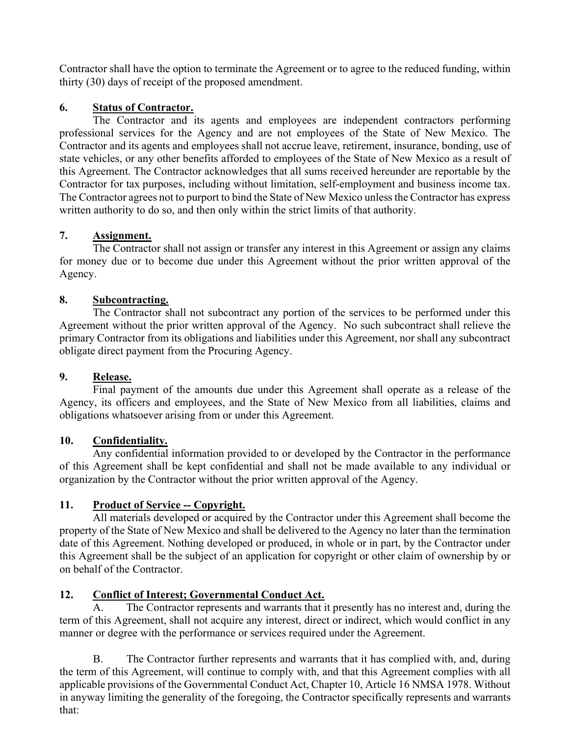Contractor shall have the option to terminate the Agreement or to agree to the reduced funding, within thirty (30) days of receipt of the proposed amendment.

## 6. Status of Contractor.

The Contractor and its agents and employees are independent contractors performing professional services for the Agency and are not employees of the State of New Mexico. The Contractor and its agents and employees shall not accrue leave, retirement, insurance, bonding, use of state vehicles, or any other benefits afforded to employees of the State of New Mexico as a result of this Agreement. The Contractor acknowledges that all sums received hereunder are reportable by the Contractor for tax purposes, including without limitation, self-employment and business income tax. The Contractor agrees not to purport to bind the State of New Mexico unless the Contractor has express written authority to do so, and then only within the strict limits of that authority.

## 7. Assignment.

The Contractor shall not assign or transfer any interest in this Agreement or assign any claims for money due or to become due under this Agreement without the prior written approval of the Agency.

# 8. Subcontracting.

The Contractor shall not subcontract any portion of the services to be performed under this Agreement without the prior written approval of the Agency. No such subcontract shall relieve the primary Contractor from its obligations and liabilities under this Agreement, nor shall any subcontract obligate direct payment from the Procuring Agency.

# 9. Release.

Final payment of the amounts due under this Agreement shall operate as a release of the Agency, its officers and employees, and the State of New Mexico from all liabilities, claims and obligations whatsoever arising from or under this Agreement.

# 10. Confidentiality.

Any confidential information provided to or developed by the Contractor in the performance of this Agreement shall be kept confidential and shall not be made available to any individual or organization by the Contractor without the prior written approval of the Agency.

# 11. Product of Service -- Copyright.

All materials developed or acquired by the Contractor under this Agreement shall become the property of the State of New Mexico and shall be delivered to the Agency no later than the termination date of this Agreement. Nothing developed or produced, in whole or in part, by the Contractor under this Agreement shall be the subject of an application for copyright or other claim of ownership by or on behalf of the Contractor.

# 12. Conflict of Interest; Governmental Conduct Act.

A. The Contractor represents and warrants that it presently has no interest and, during the term of this Agreement, shall not acquire any interest, direct or indirect, which would conflict in any manner or degree with the performance or services required under the Agreement.

B. The Contractor further represents and warrants that it has complied with, and, during the term of this Agreement, will continue to comply with, and that this Agreement complies with all applicable provisions of the Governmental Conduct Act, Chapter 10, Article 16 NMSA 1978. Without in anyway limiting the generality of the foregoing, the Contractor specifically represents and warrants that: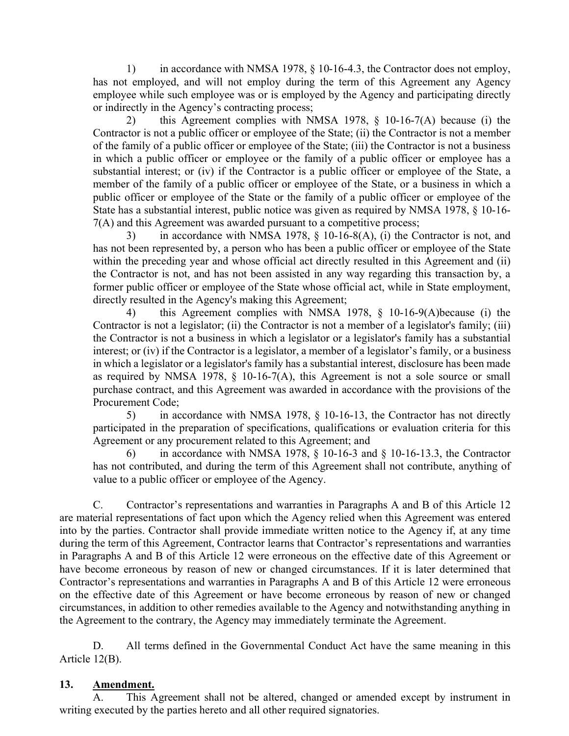1) in accordance with NMSA 1978, § 10-16-4.3, the Contractor does not employ, has not employed, and will not employ during the term of this Agreement any Agency employee while such employee was or is employed by the Agency and participating directly or indirectly in the Agency's contracting process;

2) this Agreement complies with NMSA 1978, § 10-16-7(A) because (i) the Contractor is not a public officer or employee of the State; (ii) the Contractor is not a member of the family of a public officer or employee of the State; (iii) the Contractor is not a business in which a public officer or employee or the family of a public officer or employee has a substantial interest; or (iv) if the Contractor is a public officer or employee of the State, a member of the family of a public officer or employee of the State, or a business in which a public officer or employee of the State or the family of a public officer or employee of the State has a substantial interest, public notice was given as required by NMSA 1978, § 10-16- 7(A) and this Agreement was awarded pursuant to a competitive process;

3) in accordance with NMSA 1978, § 10-16-8(A), (i) the Contractor is not, and has not been represented by, a person who has been a public officer or employee of the State within the preceding year and whose official act directly resulted in this Agreement and (ii) the Contractor is not, and has not been assisted in any way regarding this transaction by, a former public officer or employee of the State whose official act, while in State employment, directly resulted in the Agency's making this Agreement;

4) this Agreement complies with NMSA 1978, § 10-16-9(A)because (i) the Contractor is not a legislator; (ii) the Contractor is not a member of a legislator's family; (iii) the Contractor is not a business in which a legislator or a legislator's family has a substantial interest; or (iv) if the Contractor is a legislator, a member of a legislator's family, or a business in which a legislator or a legislator's family has a substantial interest, disclosure has been made as required by NMSA 1978,  $\S$  10-16-7(A), this Agreement is not a sole source or small purchase contract, and this Agreement was awarded in accordance with the provisions of the Procurement Code;

5) in accordance with NMSA 1978, § 10-16-13, the Contractor has not directly participated in the preparation of specifications, qualifications or evaluation criteria for this Agreement or any procurement related to this Agreement; and

6) in accordance with NMSA 1978,  $\S$  10-16-3 and  $\S$  10-16-13.3, the Contractor has not contributed, and during the term of this Agreement shall not contribute, anything of value to a public officer or employee of the Agency.

C. Contractor's representations and warranties in Paragraphs A and B of this Article 12 are material representations of fact upon which the Agency relied when this Agreement was entered into by the parties. Contractor shall provide immediate written notice to the Agency if, at any time during the term of this Agreement, Contractor learns that Contractor's representations and warranties in Paragraphs A and B of this Article 12 were erroneous on the effective date of this Agreement or have become erroneous by reason of new or changed circumstances. If it is later determined that Contractor's representations and warranties in Paragraphs A and B of this Article 12 were erroneous on the effective date of this Agreement or have become erroneous by reason of new or changed circumstances, in addition to other remedies available to the Agency and notwithstanding anything in the Agreement to the contrary, the Agency may immediately terminate the Agreement.

D. All terms defined in the Governmental Conduct Act have the same meaning in this Article 12(B).

#### 13. Amendment.

A. This Agreement shall not be altered, changed or amended except by instrument in writing executed by the parties hereto and all other required signatories.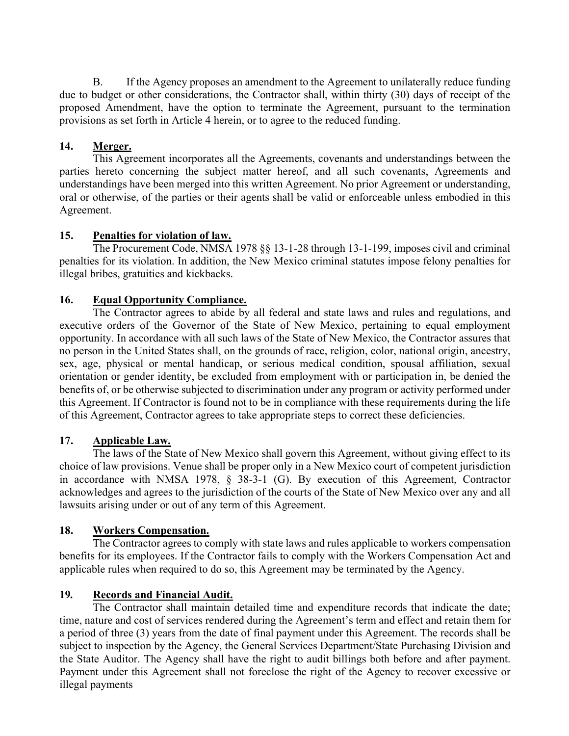B. If the Agency proposes an amendment to the Agreement to unilaterally reduce funding due to budget or other considerations, the Contractor shall, within thirty (30) days of receipt of the proposed Amendment, have the option to terminate the Agreement, pursuant to the termination provisions as set forth in Article 4 herein, or to agree to the reduced funding.

## 14. Merger.

This Agreement incorporates all the Agreements, covenants and understandings between the parties hereto concerning the subject matter hereof, and all such covenants, Agreements and understandings have been merged into this written Agreement. No prior Agreement or understanding, oral or otherwise, of the parties or their agents shall be valid or enforceable unless embodied in this Agreement.

## 15. Penalties for violation of law.

The Procurement Code, NMSA 1978 §§ 13-1-28 through 13-1-199, imposes civil and criminal penalties for its violation. In addition, the New Mexico criminal statutes impose felony penalties for illegal bribes, gratuities and kickbacks.

# 16. Equal Opportunity Compliance.

The Contractor agrees to abide by all federal and state laws and rules and regulations, and executive orders of the Governor of the State of New Mexico, pertaining to equal employment opportunity. In accordance with all such laws of the State of New Mexico, the Contractor assures that no person in the United States shall, on the grounds of race, religion, color, national origin, ancestry, sex, age, physical or mental handicap, or serious medical condition, spousal affiliation, sexual orientation or gender identity, be excluded from employment with or participation in, be denied the benefits of, or be otherwise subjected to discrimination under any program or activity performed under this Agreement. If Contractor is found not to be in compliance with these requirements during the life of this Agreement, Contractor agrees to take appropriate steps to correct these deficiencies.

# 17. Applicable Law.

The laws of the State of New Mexico shall govern this Agreement, without giving effect to its choice of law provisions. Venue shall be proper only in a New Mexico court of competent jurisdiction in accordance with NMSA 1978, § 38-3-1 (G). By execution of this Agreement, Contractor acknowledges and agrees to the jurisdiction of the courts of the State of New Mexico over any and all lawsuits arising under or out of any term of this Agreement.

## 18. Workers Compensation.

The Contractor agrees to comply with state laws and rules applicable to workers compensation benefits for its employees. If the Contractor fails to comply with the Workers Compensation Act and applicable rules when required to do so, this Agreement may be terminated by the Agency.

# 19. Records and Financial Audit.

The Contractor shall maintain detailed time and expenditure records that indicate the date; time, nature and cost of services rendered during the Agreement's term and effect and retain them for a period of three (3) years from the date of final payment under this Agreement. The records shall be subject to inspection by the Agency, the General Services Department/State Purchasing Division and the State Auditor. The Agency shall have the right to audit billings both before and after payment. Payment under this Agreement shall not foreclose the right of the Agency to recover excessive or illegal payments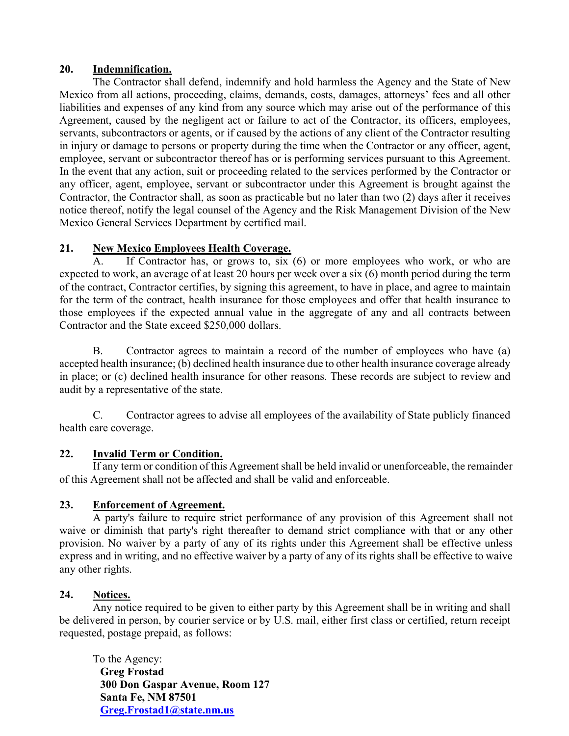### 20. Indemnification.

The Contractor shall defend, indemnify and hold harmless the Agency and the State of New Mexico from all actions, proceeding, claims, demands, costs, damages, attorneys' fees and all other liabilities and expenses of any kind from any source which may arise out of the performance of this Agreement, caused by the negligent act or failure to act of the Contractor, its officers, employees, servants, subcontractors or agents, or if caused by the actions of any client of the Contractor resulting in injury or damage to persons or property during the time when the Contractor or any officer, agent, employee, servant or subcontractor thereof has or is performing services pursuant to this Agreement. In the event that any action, suit or proceeding related to the services performed by the Contractor or any officer, agent, employee, servant or subcontractor under this Agreement is brought against the Contractor, the Contractor shall, as soon as practicable but no later than two (2) days after it receives notice thereof, notify the legal counsel of the Agency and the Risk Management Division of the New Mexico General Services Department by certified mail.

## 21. New Mexico Employees Health Coverage.

A. If Contractor has, or grows to, six (6) or more employees who work, or who are expected to work, an average of at least 20 hours per week over a six (6) month period during the term of the contract, Contractor certifies, by signing this agreement, to have in place, and agree to maintain for the term of the contract, health insurance for those employees and offer that health insurance to those employees if the expected annual value in the aggregate of any and all contracts between Contractor and the State exceed \$250,000 dollars.

B. Contractor agrees to maintain a record of the number of employees who have (a) accepted health insurance; (b) declined health insurance due to other health insurance coverage already in place; or (c) declined health insurance for other reasons. These records are subject to review and audit by a representative of the state.

C. Contractor agrees to advise all employees of the availability of State publicly financed health care coverage.

## 22. Invalid Term or Condition.

If any term or condition of this Agreement shall be held invalid or unenforceable, the remainder of this Agreement shall not be affected and shall be valid and enforceable.

## 23. Enforcement of Agreement.

A party's failure to require strict performance of any provision of this Agreement shall not waive or diminish that party's right thereafter to demand strict compliance with that or any other provision. No waiver by a party of any of its rights under this Agreement shall be effective unless express and in writing, and no effective waiver by a party of any of its rights shall be effective to waive any other rights.

## 24. Notices.

Any notice required to be given to either party by this Agreement shall be in writing and shall be delivered in person, by courier service or by U.S. mail, either first class or certified, return receipt requested, postage prepaid, as follows:

To the Agency: Greg Frostad 300 Don Gaspar Avenue, Room 127 Santa Fe, NM 87501 Greg.Frostad1@state.nm.us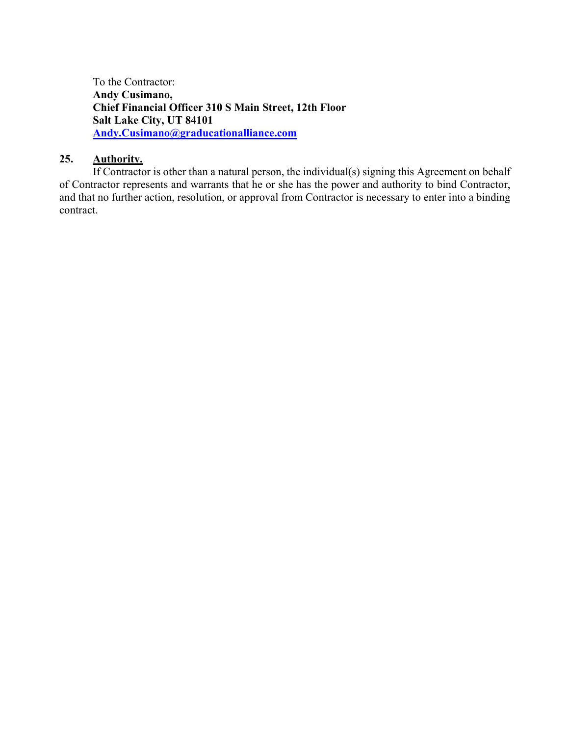To the Contractor: Andy Cusimano, Chief Financial Officer 310 S Main Street, 12th Floor Salt Lake City, UT 84101 Andy.Cusimano@graducationalliance.com

### 25. Authority.

If Contractor is other than a natural person, the individual(s) signing this Agreement on behalf of Contractor represents and warrants that he or she has the power and authority to bind Contractor, and that no further action, resolution, or approval from Contractor is necessary to enter into a binding contract.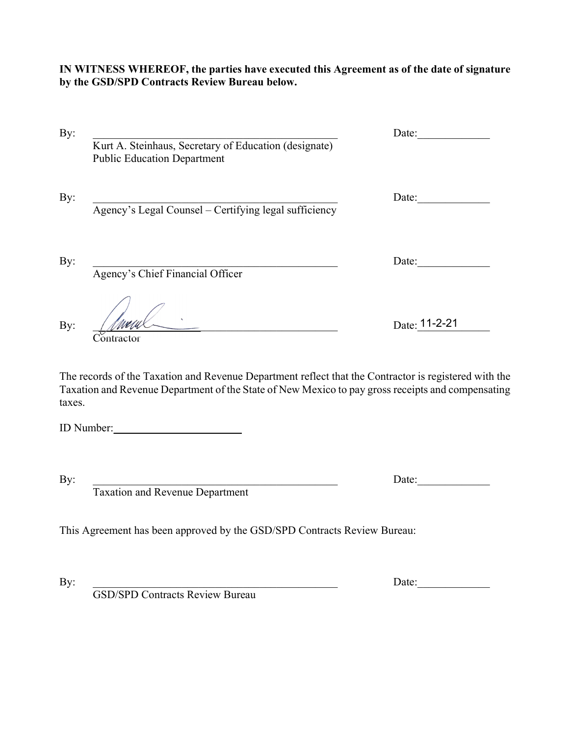IN WITNESS WHEREOF, the parties have executed this Agreement as of the date of signature by the GSD/SPD Contracts Review Bureau below.

|                                                                                             | Date:         |
|---------------------------------------------------------------------------------------------|---------------|
| Kurt A. Steinhaus, Secretary of Education (designate)<br><b>Public Education Department</b> |               |
| Agency's Legal Counsel – Certifying legal sufficiency                                       | Date:         |
| Agency's Chief Financial Officer                                                            | Date:         |
| ontractor                                                                                   | Date: 11-2-21 |

The records of the Taxation and Revenue Department reflect that the Contractor is registered with the Taxation and Revenue Department of the State of New Mexico to pay gross receipts and compensating taxes.

ID Number:\_\_\_\_\_\_\_\_\_\_\_\_\_\_\_\_\_\_\_\_\_\_\_

By: The contract of the contract of the contract of the contract of the contract of  $\Gamma$ 

Taxation and Revenue Department

This Agreement has been approved by the GSD/SPD Contracts Review Bureau:

By: \_\_\_\_\_\_\_\_\_\_\_\_\_\_\_\_\_\_\_\_\_\_\_\_\_\_\_\_\_\_\_\_\_\_\_\_\_\_\_\_\_\_\_\_ Date:\_\_\_\_\_\_\_\_\_\_\_\_\_

GSD/SPD Contracts Review Bureau